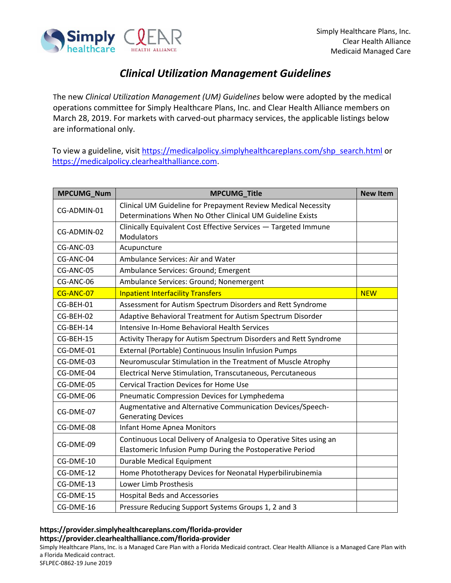

## *Clinical Utilization Management Guidelines*

The new *Clinical Utilization Management (UM) Guidelines* below were adopted by the medical operations committee for Simply Healthcare Plans, Inc. and Clear Health Alliance members on March 28, 2019. For markets with carved-out pharmacy services, the applicable listings below are informational only.

To view a guideline, visit [https://medicalpolicy.simplyhealthcareplans.com/shp\\_search.html](https://medicalpolicy.simplyhealthcareplans.com/shp_search.html) or [https://medicalpolicy.clearhealthalliance.com.](https://medicalpolicy.clearhealthalliance.com/)

| MPCUMG_Num  | <b>MPCUMG_Title</b>                                                                                                             | <b>New Item</b> |
|-------------|---------------------------------------------------------------------------------------------------------------------------------|-----------------|
| CG-ADMIN-01 | Clinical UM Guideline for Prepayment Review Medical Necessity<br>Determinations When No Other Clinical UM Guideline Exists      |                 |
| CG-ADMIN-02 | Clinically Equivalent Cost Effective Services - Targeted Immune<br>Modulators                                                   |                 |
| CG-ANC-03   | Acupuncture                                                                                                                     |                 |
| CG-ANC-04   | Ambulance Services: Air and Water                                                                                               |                 |
| CG-ANC-05   | Ambulance Services: Ground; Emergent                                                                                            |                 |
| CG-ANC-06   | Ambulance Services: Ground; Nonemergent                                                                                         |                 |
| CG-ANC-07   | <b>Inpatient Interfacility Transfers</b>                                                                                        | <b>NEW</b>      |
| CG-BEH-01   | Assessment for Autism Spectrum Disorders and Rett Syndrome                                                                      |                 |
| CG-BEH-02   | Adaptive Behavioral Treatment for Autism Spectrum Disorder                                                                      |                 |
| CG-BEH-14   | Intensive In-Home Behavioral Health Services                                                                                    |                 |
| CG-BEH-15   | Activity Therapy for Autism Spectrum Disorders and Rett Syndrome                                                                |                 |
| CG-DME-01   | External (Portable) Continuous Insulin Infusion Pumps                                                                           |                 |
| CG-DME-03   | Neuromuscular Stimulation in the Treatment of Muscle Atrophy                                                                    |                 |
| CG-DME-04   | Electrical Nerve Stimulation, Transcutaneous, Percutaneous                                                                      |                 |
| CG-DME-05   | <b>Cervical Traction Devices for Home Use</b>                                                                                   |                 |
| CG-DME-06   | Pneumatic Compression Devices for Lymphedema                                                                                    |                 |
| CG-DME-07   | Augmentative and Alternative Communication Devices/Speech-<br><b>Generating Devices</b>                                         |                 |
| CG-DME-08   | Infant Home Apnea Monitors                                                                                                      |                 |
| CG-DME-09   | Continuous Local Delivery of Analgesia to Operative Sites using an<br>Elastomeric Infusion Pump During the Postoperative Period |                 |
| CG-DME-10   | <b>Durable Medical Equipment</b>                                                                                                |                 |
| CG-DME-12   | Home Phototherapy Devices for Neonatal Hyperbilirubinemia                                                                       |                 |
| CG-DME-13   | Lower Limb Prosthesis                                                                                                           |                 |
| CG-DME-15   | <b>Hospital Beds and Accessories</b>                                                                                            |                 |
| CG-DME-16   | Pressure Reducing Support Systems Groups 1, 2 and 3                                                                             |                 |

## **https://provider.simplyhealthcareplans.com/florida-provider https://provider.clearhealthalliance.com/florida-provider**

Simply Healthcare Plans, Inc. is a Managed Care Plan with a Florida Medicaid contract. Clear Health Alliance is a Managed Care Plan with a Florida Medicaid contract.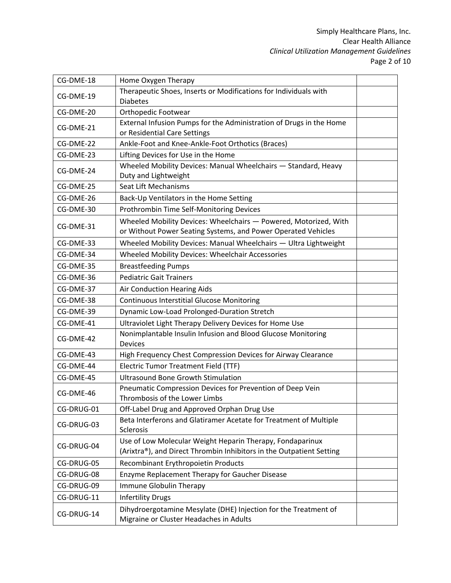| CG-DME-18  | Home Oxygen Therapy                                                            |  |
|------------|--------------------------------------------------------------------------------|--|
| CG-DME-19  | Therapeutic Shoes, Inserts or Modifications for Individuals with               |  |
|            | <b>Diabetes</b>                                                                |  |
| CG-DME-20  | Orthopedic Footwear                                                            |  |
| CG-DME-21  | External Infusion Pumps for the Administration of Drugs in the Home            |  |
|            | or Residential Care Settings                                                   |  |
| CG-DME-22  | Ankle-Foot and Knee-Ankle-Foot Orthotics (Braces)                              |  |
| CG-DME-23  | Lifting Devices for Use in the Home                                            |  |
| CG-DME-24  | Wheeled Mobility Devices: Manual Wheelchairs - Standard, Heavy                 |  |
|            | Duty and Lightweight                                                           |  |
| CG-DME-25  | Seat Lift Mechanisms                                                           |  |
| CG-DME-26  | Back-Up Ventilators in the Home Setting                                        |  |
| CG-DME-30  | Prothrombin Time Self-Monitoring Devices                                       |  |
| CG-DME-31  | Wheeled Mobility Devices: Wheelchairs - Powered, Motorized, With               |  |
|            | or Without Power Seating Systems, and Power Operated Vehicles                  |  |
| CG-DME-33  | Wheeled Mobility Devices: Manual Wheelchairs - Ultra Lightweight               |  |
| CG-DME-34  | Wheeled Mobility Devices: Wheelchair Accessories                               |  |
| CG-DME-35  | <b>Breastfeeding Pumps</b>                                                     |  |
| CG-DME-36  | <b>Pediatric Gait Trainers</b>                                                 |  |
| CG-DME-37  | Air Conduction Hearing Aids                                                    |  |
| CG-DME-38  | <b>Continuous Interstitial Glucose Monitoring</b>                              |  |
| CG-DME-39  | Dynamic Low-Load Prolonged-Duration Stretch                                    |  |
| CG-DME-41  | Ultraviolet Light Therapy Delivery Devices for Home Use                        |  |
| CG-DME-42  | Nonimplantable Insulin Infusion and Blood Glucose Monitoring                   |  |
|            | <b>Devices</b>                                                                 |  |
| CG-DME-43  | High Frequency Chest Compression Devices for Airway Clearance                  |  |
| CG-DME-44  | <b>Electric Tumor Treatment Field (TTF)</b>                                    |  |
| CG-DME-45  | <b>Ultrasound Bone Growth Stimulation</b>                                      |  |
| CG-DME-46  | Pneumatic Compression Devices for Prevention of Deep Vein                      |  |
|            | Thrombosis of the Lower Limbs                                                  |  |
| CG-DRUG-01 | Off-Label Drug and Approved Orphan Drug Use                                    |  |
| CG-DRUG-03 | Beta Interferons and Glatiramer Acetate for Treatment of Multiple<br>Sclerosis |  |
|            | Use of Low Molecular Weight Heparin Therapy, Fondaparinux                      |  |
| CG-DRUG-04 | (Arixtra®), and Direct Thrombin Inhibitors in the Outpatient Setting           |  |
| CG-DRUG-05 | Recombinant Erythropoietin Products                                            |  |
| CG-DRUG-08 | Enzyme Replacement Therapy for Gaucher Disease                                 |  |
| CG-DRUG-09 | Immune Globulin Therapy                                                        |  |
| CG-DRUG-11 | <b>Infertility Drugs</b>                                                       |  |
|            | Dihydroergotamine Mesylate (DHE) Injection for the Treatment of                |  |
| CG-DRUG-14 | Migraine or Cluster Headaches in Adults                                        |  |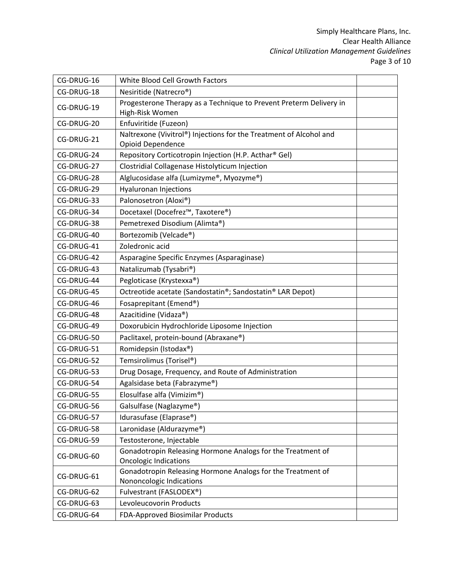| CG-DRUG-16 | White Blood Cell Growth Factors                                    |  |
|------------|--------------------------------------------------------------------|--|
| CG-DRUG-18 | Nesiritide (Natrecro <sup>®</sup> )                                |  |
|            | Progesterone Therapy as a Technique to Prevent Preterm Delivery in |  |
| CG-DRUG-19 | High-Risk Women                                                    |  |
| CG-DRUG-20 | Enfuviritide (Fuzeon)                                              |  |
| CG-DRUG-21 | Naltrexone (Vivitrol®) Injections for the Treatment of Alcohol and |  |
|            | Opioid Dependence                                                  |  |
| CG-DRUG-24 | Repository Corticotropin Injection (H.P. Acthar® Gel)              |  |
| CG-DRUG-27 | Clostridial Collagenase Histolyticum Injection                     |  |
| CG-DRUG-28 | Alglucosidase alfa (Lumizyme®, Myozyme®)                           |  |
| CG-DRUG-29 | Hyaluronan Injections                                              |  |
| CG-DRUG-33 | Palonosetron (Aloxi®)                                              |  |
| CG-DRUG-34 | Docetaxel (Docefrez™, Taxotere®)                                   |  |
| CG-DRUG-38 | Pemetrexed Disodium (Alimta®)                                      |  |
| CG-DRUG-40 | Bortezomib (Velcade®)                                              |  |
| CG-DRUG-41 | Zoledronic acid                                                    |  |
| CG-DRUG-42 | Asparagine Specific Enzymes (Asparaginase)                         |  |
| CG-DRUG-43 | Natalizumab (Tysabri®)                                             |  |
| CG-DRUG-44 | Pegloticase (Krystexxa®)                                           |  |
| CG-DRUG-45 | Octreotide acetate (Sandostatin®; Sandostatin® LAR Depot)          |  |
| CG-DRUG-46 | Fosaprepitant (Emend®)                                             |  |
| CG-DRUG-48 | Azacitidine (Vidaza®)                                              |  |
| CG-DRUG-49 | Doxorubicin Hydrochloride Liposome Injection                       |  |
| CG-DRUG-50 | Paclitaxel, protein-bound (Abraxane®)                              |  |
| CG-DRUG-51 | Romidepsin (Istodax®)                                              |  |
| CG-DRUG-52 | Temsirolimus (Torisel®)                                            |  |
| CG-DRUG-53 | Drug Dosage, Frequency, and Route of Administration                |  |
| CG-DRUG-54 | Agalsidase beta (Fabrazyme®)                                       |  |
| CG-DRUG-55 | Elosulfase alfa (Vimizim®)                                         |  |
| CG-DRUG-56 | Galsulfase (Naglazyme®)                                            |  |
| CG-DRUG-57 | Idurasufase (Elaprase®)                                            |  |
| CG-DRUG-58 | Laronidase (Aldurazyme®)                                           |  |
| CG-DRUG-59 | Testosterone, Injectable                                           |  |
|            | Gonadotropin Releasing Hormone Analogs for the Treatment of        |  |
| CG-DRUG-60 | <b>Oncologic Indications</b>                                       |  |
| CG-DRUG-61 | Gonadotropin Releasing Hormone Analogs for the Treatment of        |  |
|            | Nononcologic Indications                                           |  |
| CG-DRUG-62 | Fulvestrant (FASLODEX®)                                            |  |
| CG-DRUG-63 | Levoleucovorin Products                                            |  |
| CG-DRUG-64 | FDA-Approved Biosimilar Products                                   |  |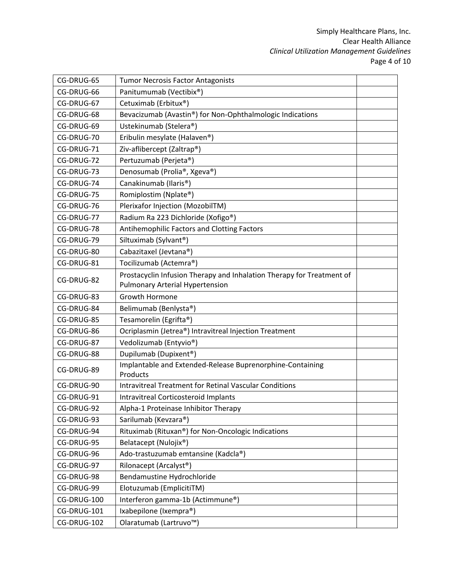| CG-DRUG-65  | <b>Tumor Necrosis Factor Antagonists</b>                              |  |
|-------------|-----------------------------------------------------------------------|--|
| CG-DRUG-66  | Panitumumab (Vectibix®)                                               |  |
| CG-DRUG-67  | Cetuximab (Erbitux®)                                                  |  |
| CG-DRUG-68  | Bevacizumab (Avastin®) for Non-Ophthalmologic Indications             |  |
| CG-DRUG-69  | Ustekinumab (Stelera®)                                                |  |
| CG-DRUG-70  | Eribulin mesylate (Halaven®)                                          |  |
| CG-DRUG-71  | Ziv-aflibercept (Zaltrap®)                                            |  |
| CG-DRUG-72  | Pertuzumab (Perjeta®)                                                 |  |
| CG-DRUG-73  | Denosumab (Prolia®, Xgeva®)                                           |  |
| CG-DRUG-74  | Canakinumab (Ilaris®)                                                 |  |
| CG-DRUG-75  | Romiplostim (Nplate®)                                                 |  |
| CG-DRUG-76  | Plerixafor Injection (MozobilTM)                                      |  |
| CG-DRUG-77  | Radium Ra 223 Dichloride (Xofigo <sup>®</sup> )                       |  |
| CG-DRUG-78  | Antihemophilic Factors and Clotting Factors                           |  |
| CG-DRUG-79  | Siltuximab (Sylvant®)                                                 |  |
| CG-DRUG-80  | Cabazitaxel (Jevtana®)                                                |  |
| CG-DRUG-81  | Tocilizumab (Actemra®)                                                |  |
| CG-DRUG-82  | Prostacyclin Infusion Therapy and Inhalation Therapy for Treatment of |  |
|             | <b>Pulmonary Arterial Hypertension</b>                                |  |
| CG-DRUG-83  | Growth Hormone                                                        |  |
| CG-DRUG-84  | Belimumab (Benlysta®)                                                 |  |
| CG-DRUG-85  | Tesamorelin (Egrifta®)                                                |  |
| CG-DRUG-86  | Ocriplasmin (Jetrea®) Intravitreal Injection Treatment                |  |
| CG-DRUG-87  | Vedolizumab (Entyvio®)                                                |  |
| CG-DRUG-88  | Dupilumab (Dupixent®)                                                 |  |
| CG-DRUG-89  | Implantable and Extended-Release Buprenorphine-Containing<br>Products |  |
| CG-DRUG-90  | <b>Intravitreal Treatment for Retinal Vascular Conditions</b>         |  |
| CG-DRUG-91  | Intravitreal Corticosteroid Implants                                  |  |
| CG-DRUG-92  | Alpha-1 Proteinase Inhibitor Therapy                                  |  |
| CG-DRUG-93  | Sarilumab (Kevzara®)                                                  |  |
| CG-DRUG-94  | Rituximab (Rituxan®) for Non-Oncologic Indications                    |  |
| CG-DRUG-95  | Belatacept (Nulojix®)                                                 |  |
| CG-DRUG-96  | Ado-trastuzumab emtansine (Kadcla®)                                   |  |
| CG-DRUG-97  | Rilonacept (Arcalyst <sup>®</sup> )                                   |  |
| CG-DRUG-98  | Bendamustine Hydrochloride                                            |  |
| CG-DRUG-99  | Elotuzumab (EmplicitiTM)                                              |  |
| CG-DRUG-100 | Interferon gamma-1b (Actimmune®)                                      |  |
| CG-DRUG-101 | Ixabepilone (Ixempra®)                                                |  |
| CG-DRUG-102 | Olaratumab (Lartruvo <sup>™</sup> )                                   |  |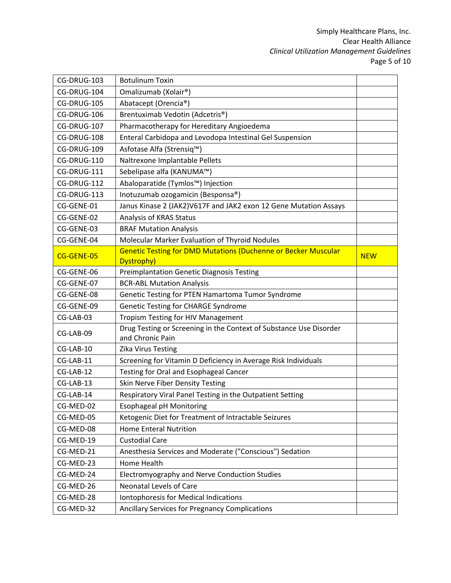| CG-DRUG-103 | <b>Botulinum Toxin</b>                                                                 |            |
|-------------|----------------------------------------------------------------------------------------|------------|
| CG-DRUG-104 | Omalizumab (Xolair®)                                                                   |            |
| CG-DRUG-105 | Abatacept (Orencia®)                                                                   |            |
| CG-DRUG-106 | Brentuximab Vedotin (Adcetris <sup>®</sup> )                                           |            |
| CG-DRUG-107 | Pharmacotherapy for Hereditary Angioedema                                              |            |
| CG-DRUG-108 | Enteral Carbidopa and Levodopa Intestinal Gel Suspension                               |            |
| CG-DRUG-109 | Asfotase Alfa (Strensiq™)                                                              |            |
| CG-DRUG-110 | Naltrexone Implantable Pellets                                                         |            |
| CG-DRUG-111 | Sebelipase alfa (KANUMA™)                                                              |            |
| CG-DRUG-112 | Abaloparatide (Tymlos™) Injection                                                      |            |
| CG-DRUG-113 | Inotuzumab ozogamicin (Besponsa®)                                                      |            |
| CG-GENE-01  | Janus Kinase 2 (JAK2) V617F and JAK2 exon 12 Gene Mutation Assays                      |            |
| CG-GENE-02  | Analysis of KRAS Status                                                                |            |
| CG-GENE-03  | <b>BRAF Mutation Analysis</b>                                                          |            |
| CG-GENE-04  | Molecular Marker Evaluation of Thyroid Nodules                                         |            |
| CG-GENE-05  | <b>Genetic Testing for DMD Mutations (Duchenne or Becker Muscular</b><br>Dystrophy)    | <b>NEW</b> |
| CG-GENE-06  | <b>Preimplantation Genetic Diagnosis Testing</b>                                       |            |
| CG-GENE-07  | <b>BCR-ABL Mutation Analysis</b>                                                       |            |
| CG-GENE-08  | Genetic Testing for PTEN Hamartoma Tumor Syndrome                                      |            |
| CG-GENE-09  | Genetic Testing for CHARGE Syndrome                                                    |            |
| CG-LAB-03   | Tropism Testing for HIV Management                                                     |            |
| CG-LAB-09   | Drug Testing or Screening in the Context of Substance Use Disorder<br>and Chronic Pain |            |
| CG-LAB-10   | Zika Virus Testing                                                                     |            |
| CG-LAB-11   | Screening for Vitamin D Deficiency in Average Risk Individuals                         |            |
| CG-LAB-12   | Testing for Oral and Esophageal Cancer                                                 |            |
| CG-LAB-13   | Skin Nerve Fiber Density Testing                                                       |            |
| CG-LAB-14   | Respiratory Viral Panel Testing in the Outpatient Setting                              |            |
| CG-MED-02   | <b>Esophageal pH Monitoring</b>                                                        |            |
| CG-MED-05   | Ketogenic Diet for Treatment of Intractable Seizures                                   |            |
| CG-MED-08   | <b>Home Enteral Nutrition</b>                                                          |            |
| CG-MED-19   | <b>Custodial Care</b>                                                                  |            |
| CG-MED-21   | Anesthesia Services and Moderate ("Conscious") Sedation                                |            |
| CG-MED-23   | <b>Home Health</b>                                                                     |            |
| CG-MED-24   | Electromyography and Nerve Conduction Studies                                          |            |
| CG-MED-26   | <b>Neonatal Levels of Care</b>                                                         |            |
| CG-MED-28   | Iontophoresis for Medical Indications                                                  |            |
| CG-MED-32   | Ancillary Services for Pregnancy Complications                                         |            |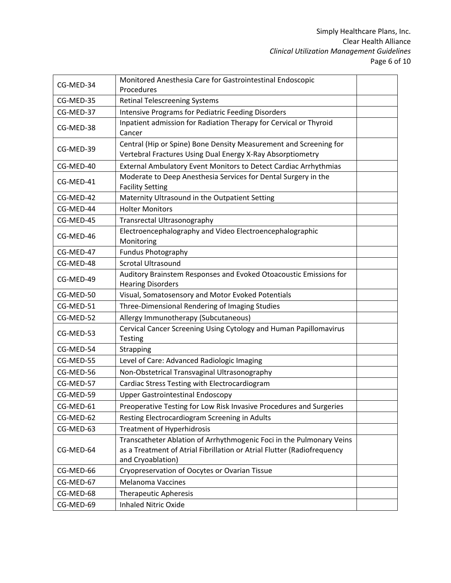|           | Monitored Anesthesia Care for Gastrointestinal Endoscopic               |  |
|-----------|-------------------------------------------------------------------------|--|
| CG-MED-34 | Procedures                                                              |  |
| CG-MED-35 | <b>Retinal Telescreening Systems</b>                                    |  |
| CG-MED-37 | <b>Intensive Programs for Pediatric Feeding Disorders</b>               |  |
|           | Inpatient admission for Radiation Therapy for Cervical or Thyroid       |  |
| CG-MED-38 | Cancer                                                                  |  |
| CG-MED-39 | Central (Hip or Spine) Bone Density Measurement and Screening for       |  |
|           | Vertebral Fractures Using Dual Energy X-Ray Absorptiometry              |  |
| CG-MED-40 | External Ambulatory Event Monitors to Detect Cardiac Arrhythmias        |  |
| CG-MED-41 | Moderate to Deep Anesthesia Services for Dental Surgery in the          |  |
|           | <b>Facility Setting</b>                                                 |  |
| CG-MED-42 | Maternity Ultrasound in the Outpatient Setting                          |  |
| CG-MED-44 | <b>Holter Monitors</b>                                                  |  |
| CG-MED-45 | Transrectal Ultrasonography                                             |  |
| CG-MED-46 | Electroencephalography and Video Electroencephalographic                |  |
|           | Monitoring                                                              |  |
| CG-MED-47 | <b>Fundus Photography</b>                                               |  |
| CG-MED-48 | <b>Scrotal Ultrasound</b>                                               |  |
| CG-MED-49 | Auditory Brainstem Responses and Evoked Otoacoustic Emissions for       |  |
|           | <b>Hearing Disorders</b>                                                |  |
| CG-MED-50 | Visual, Somatosensory and Motor Evoked Potentials                       |  |
| CG-MED-51 | Three-Dimensional Rendering of Imaging Studies                          |  |
| CG-MED-52 | Allergy Immunotherapy (Subcutaneous)                                    |  |
| CG-MED-53 | Cervical Cancer Screening Using Cytology and Human Papillomavirus       |  |
|           | Testing                                                                 |  |
| CG-MED-54 | Strapping                                                               |  |
| CG-MED-55 | Level of Care: Advanced Radiologic Imaging                              |  |
| CG-MED-56 | Non-Obstetrical Transvaginal Ultrasonography                            |  |
| CG-MED-57 | Cardiac Stress Testing with Electrocardiogram                           |  |
| CG-MED-59 | <b>Upper Gastrointestinal Endoscopy</b>                                 |  |
| CG-MED-61 | Preoperative Testing for Low Risk Invasive Procedures and Surgeries     |  |
| CG-MED-62 | Resting Electrocardiogram Screening in Adults                           |  |
| CG-MED-63 | <b>Treatment of Hyperhidrosis</b>                                       |  |
|           | Transcatheter Ablation of Arrhythmogenic Foci in the Pulmonary Veins    |  |
| CG-MED-64 | as a Treatment of Atrial Fibrillation or Atrial Flutter (Radiofrequency |  |
|           | and Cryoablation)                                                       |  |
| CG-MED-66 | Cryopreservation of Oocytes or Ovarian Tissue                           |  |
| CG-MED-67 | <b>Melanoma Vaccines</b>                                                |  |
| CG-MED-68 | <b>Therapeutic Apheresis</b>                                            |  |
| CG-MED-69 | <b>Inhaled Nitric Oxide</b>                                             |  |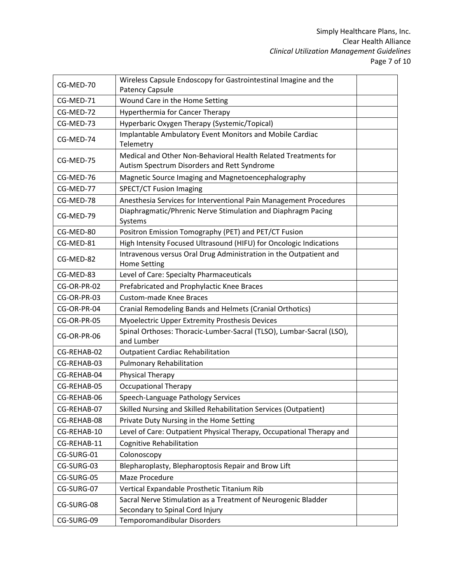| CG-MED-70   | Wireless Capsule Endoscopy for Gastrointestinal Imagine and the                                               |  |
|-------------|---------------------------------------------------------------------------------------------------------------|--|
| CG-MED-71   | Patency Capsule<br>Wound Care in the Home Setting                                                             |  |
| CG-MED-72   | <b>Hyperthermia for Cancer Therapy</b>                                                                        |  |
|             |                                                                                                               |  |
| CG-MED-73   | Hyperbaric Oxygen Therapy (Systemic/Topical)                                                                  |  |
| CG-MED-74   | Implantable Ambulatory Event Monitors and Mobile Cardiac<br>Telemetry                                         |  |
| CG-MED-75   | Medical and Other Non-Behavioral Health Related Treatments for<br>Autism Spectrum Disorders and Rett Syndrome |  |
| CG-MED-76   | Magnetic Source Imaging and Magnetoencephalography                                                            |  |
| CG-MED-77   | <b>SPECT/CT Fusion Imaging</b>                                                                                |  |
| CG-MED-78   | Anesthesia Services for Interventional Pain Management Procedures                                             |  |
| CG-MED-79   | Diaphragmatic/Phrenic Nerve Stimulation and Diaphragm Pacing<br>Systems                                       |  |
| CG-MED-80   | Positron Emission Tomography (PET) and PET/CT Fusion                                                          |  |
| CG-MED-81   | High Intensity Focused Ultrasound (HIFU) for Oncologic Indications                                            |  |
| CG-MED-82   | Intravenous versus Oral Drug Administration in the Outpatient and<br><b>Home Setting</b>                      |  |
| CG-MED-83   | Level of Care: Specialty Pharmaceuticals                                                                      |  |
| CG-OR-PR-02 | Prefabricated and Prophylactic Knee Braces                                                                    |  |
| CG-OR-PR-03 | <b>Custom-made Knee Braces</b>                                                                                |  |
| CG-OR-PR-04 | Cranial Remodeling Bands and Helmets (Cranial Orthotics)                                                      |  |
| CG-OR-PR-05 | Myoelectric Upper Extremity Prosthesis Devices                                                                |  |
| CG-OR-PR-06 | Spinal Orthoses: Thoracic-Lumber-Sacral (TLSO), Lumbar-Sacral (LSO),<br>and Lumber                            |  |
| CG-REHAB-02 | <b>Outpatient Cardiac Rehabilitation</b>                                                                      |  |
| CG-REHAB-03 | <b>Pulmonary Rehabilitation</b>                                                                               |  |
| CG-REHAB-04 | Physical Therapy                                                                                              |  |
| CG-REHAB-05 | <b>Occupational Therapy</b>                                                                                   |  |
| CG-REHAB-06 | Speech-Language Pathology Services                                                                            |  |
| CG-REHAB-07 | Skilled Nursing and Skilled Rehabilitation Services (Outpatient)                                              |  |
| CG-REHAB-08 | Private Duty Nursing in the Home Setting                                                                      |  |
| CG-REHAB-10 | Level of Care: Outpatient Physical Therapy, Occupational Therapy and                                          |  |
| CG-REHAB-11 | <b>Cognitive Rehabilitation</b>                                                                               |  |
| CG-SURG-01  | Colonoscopy                                                                                                   |  |
| CG-SURG-03  | Blepharoplasty, Blepharoptosis Repair and Brow Lift                                                           |  |
| CG-SURG-05  | Maze Procedure                                                                                                |  |
| CG-SURG-07  | Vertical Expandable Prosthetic Titanium Rib                                                                   |  |
| CG-SURG-08  | Sacral Nerve Stimulation as a Treatment of Neurogenic Bladder<br>Secondary to Spinal Cord Injury              |  |
| CG-SURG-09  | Temporomandibular Disorders                                                                                   |  |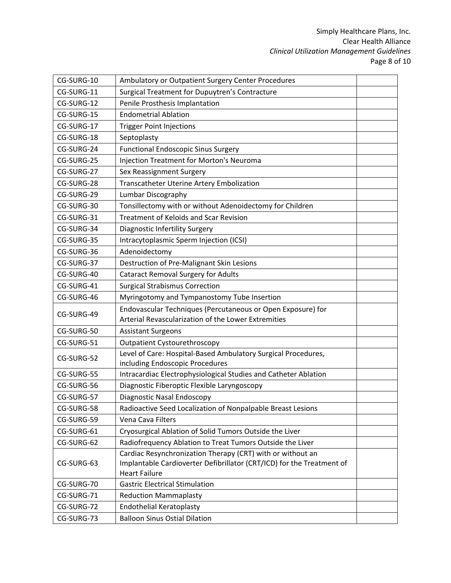| CG-SURG-10 | Ambulatory or Outpatient Surgery Center Procedures                                                                                                          |  |
|------------|-------------------------------------------------------------------------------------------------------------------------------------------------------------|--|
| CG-SURG-11 | Surgical Treatment for Dupuytren's Contracture                                                                                                              |  |
| CG-SURG-12 | Penile Prosthesis Implantation                                                                                                                              |  |
| CG-SURG-15 | <b>Endometrial Ablation</b>                                                                                                                                 |  |
| CG-SURG-17 | <b>Trigger Point Injections</b>                                                                                                                             |  |
| CG-SURG-18 | Septoplasty                                                                                                                                                 |  |
| CG-SURG-24 | <b>Functional Endoscopic Sinus Surgery</b>                                                                                                                  |  |
| CG-SURG-25 | Injection Treatment for Morton's Neuroma                                                                                                                    |  |
| CG-SURG-27 | Sex Reassignment Surgery                                                                                                                                    |  |
| CG-SURG-28 | Transcatheter Uterine Artery Embolization                                                                                                                   |  |
| CG-SURG-29 | Lumbar Discography                                                                                                                                          |  |
| CG-SURG-30 | Tonsillectomy with or without Adenoidectomy for Children                                                                                                    |  |
| CG-SURG-31 | <b>Treatment of Keloids and Scar Revision</b>                                                                                                               |  |
| CG-SURG-34 | Diagnostic Infertility Surgery                                                                                                                              |  |
| CG-SURG-35 | Intracytoplasmic Sperm Injection (ICSI)                                                                                                                     |  |
| CG-SURG-36 | Adenoidectomy                                                                                                                                               |  |
| CG-SURG-37 | Destruction of Pre-Malignant Skin Lesions                                                                                                                   |  |
| CG-SURG-40 | <b>Cataract Removal Surgery for Adults</b>                                                                                                                  |  |
| CG-SURG-41 | <b>Surgical Strabismus Correction</b>                                                                                                                       |  |
| CG-SURG-46 | Myringotomy and Tympanostomy Tube Insertion                                                                                                                 |  |
| CG-SURG-49 | Endovascular Techniques (Percutaneous or Open Exposure) for<br>Arterial Revascularization of the Lower Extremities                                          |  |
| CG-SURG-50 | <b>Assistant Surgeons</b>                                                                                                                                   |  |
| CG-SURG-51 | <b>Outpatient Cystourethroscopy</b>                                                                                                                         |  |
| CG-SURG-52 | Level of Care: Hospital-Based Ambulatory Surgical Procedures,<br>including Endoscopic Procedures                                                            |  |
| CG-SURG-55 | Intracardiac Electrophysiological Studies and Catheter Ablation                                                                                             |  |
| CG-SURG-56 | Diagnostic Fiberoptic Flexible Laryngoscopy                                                                                                                 |  |
| CG-SURG-57 | Diagnostic Nasal Endoscopy                                                                                                                                  |  |
| CG-SURG-58 | Radioactive Seed Localization of Nonpalpable Breast Lesions                                                                                                 |  |
| CG-SURG-59 | Vena Cava Filters                                                                                                                                           |  |
| CG-SURG-61 | Cryosurgical Ablation of Solid Tumors Outside the Liver                                                                                                     |  |
| CG-SURG-62 | Radiofrequency Ablation to Treat Tumors Outside the Liver                                                                                                   |  |
| CG-SURG-63 | Cardiac Resynchronization Therapy (CRT) with or without an<br>Implantable Cardioverter Defibrillator (CRT/ICD) for the Treatment of<br><b>Heart Failure</b> |  |
| CG-SURG-70 | <b>Gastric Electrical Stimulation</b>                                                                                                                       |  |
| CG-SURG-71 | <b>Reduction Mammaplasty</b>                                                                                                                                |  |
| CG-SURG-72 | <b>Endothelial Keratoplasty</b>                                                                                                                             |  |
| CG-SURG-73 | <b>Balloon Sinus Ostial Dilation</b>                                                                                                                        |  |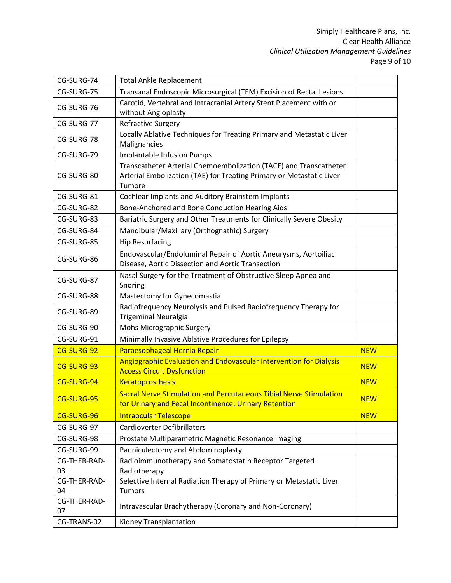| CG-SURG-74         | <b>Total Ankle Replacement</b>                                                                                                                      |            |
|--------------------|-----------------------------------------------------------------------------------------------------------------------------------------------------|------------|
| CG-SURG-75         | Transanal Endoscopic Microsurgical (TEM) Excision of Rectal Lesions                                                                                 |            |
| CG-SURG-76         | Carotid, Vertebral and Intracranial Artery Stent Placement with or<br>without Angioplasty                                                           |            |
| CG-SURG-77         | Refractive Surgery                                                                                                                                  |            |
| CG-SURG-78         | Locally Ablative Techniques for Treating Primary and Metastatic Liver<br>Malignancies                                                               |            |
| CG-SURG-79         | <b>Implantable Infusion Pumps</b>                                                                                                                   |            |
| CG-SURG-80         | Transcatheter Arterial Chemoembolization (TACE) and Transcatheter<br>Arterial Embolization (TAE) for Treating Primary or Metastatic Liver<br>Tumore |            |
| CG-SURG-81         | Cochlear Implants and Auditory Brainstem Implants                                                                                                   |            |
| CG-SURG-82         | Bone-Anchored and Bone Conduction Hearing Aids                                                                                                      |            |
| CG-SURG-83         | Bariatric Surgery and Other Treatments for Clinically Severe Obesity                                                                                |            |
| CG-SURG-84         | Mandibular/Maxillary (Orthognathic) Surgery                                                                                                         |            |
| CG-SURG-85         | <b>Hip Resurfacing</b>                                                                                                                              |            |
| CG-SURG-86         | Endovascular/Endoluminal Repair of Aortic Aneurysms, Aortoiliac<br>Disease, Aortic Dissection and Aortic Transection                                |            |
| CG-SURG-87         | Nasal Surgery for the Treatment of Obstructive Sleep Apnea and<br>Snoring                                                                           |            |
| CG-SURG-88         | Mastectomy for Gynecomastia                                                                                                                         |            |
| CG-SURG-89         | Radiofrequency Neurolysis and Pulsed Radiofrequency Therapy for<br><b>Trigeminal Neuralgia</b>                                                      |            |
| CG-SURG-90         | Mohs Micrographic Surgery                                                                                                                           |            |
| CG-SURG-91         | Minimally Invasive Ablative Procedures for Epilepsy                                                                                                 |            |
| CG-SURG-92         | Paraesophageal Hernia Repair                                                                                                                        | <b>NEW</b> |
| CG-SURG-93         | Angiographic Evaluation and Endovascular Intervention for Dialysis<br><b>Access Circuit Dysfunction</b>                                             | <b>NEW</b> |
| CG-SURG-94         | <b>Keratoprosthesis</b>                                                                                                                             | <b>NEW</b> |
| CG-SURG-95         | Sacral Nerve Stimulation and Percutaneous Tibial Nerve Stimulation<br>for Urinary and Fecal Incontinence; Urinary Retention                         | <b>NEW</b> |
| CG-SURG-96         | <b>Intraocular Telescope</b>                                                                                                                        | <b>NEW</b> |
| CG-SURG-97         | <b>Cardioverter Defibrillators</b>                                                                                                                  |            |
| CG-SURG-98         | Prostate Multiparametric Magnetic Resonance Imaging                                                                                                 |            |
| CG-SURG-99         | Panniculectomy and Abdominoplasty                                                                                                                   |            |
| CG-THER-RAD-       | Radioimmunotherapy and Somatostatin Receptor Targeted                                                                                               |            |
| 03                 | Radiotherapy                                                                                                                                        |            |
| CG-THER-RAD-       | Selective Internal Radiation Therapy of Primary or Metastatic Liver                                                                                 |            |
| 04                 | <b>Tumors</b>                                                                                                                                       |            |
| CG-THER-RAD-<br>07 | Intravascular Brachytherapy (Coronary and Non-Coronary)                                                                                             |            |
| CG-TRANS-02        | Kidney Transplantation                                                                                                                              |            |